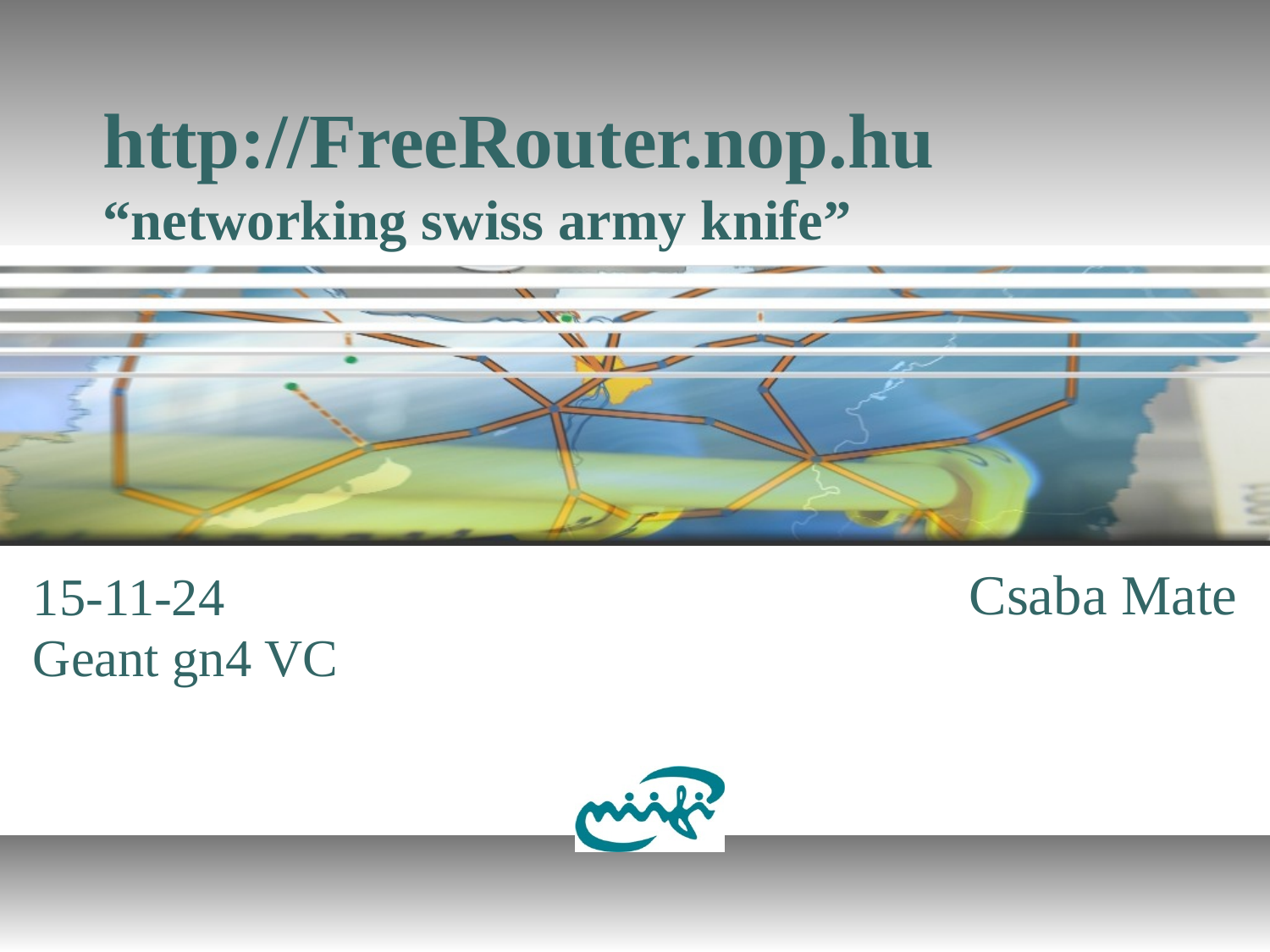# http://FreeRouter.nop.hu "networking swiss army knife"



 $15 - 11 - 24$ Geant gn4 VC **Csaba Mate** 

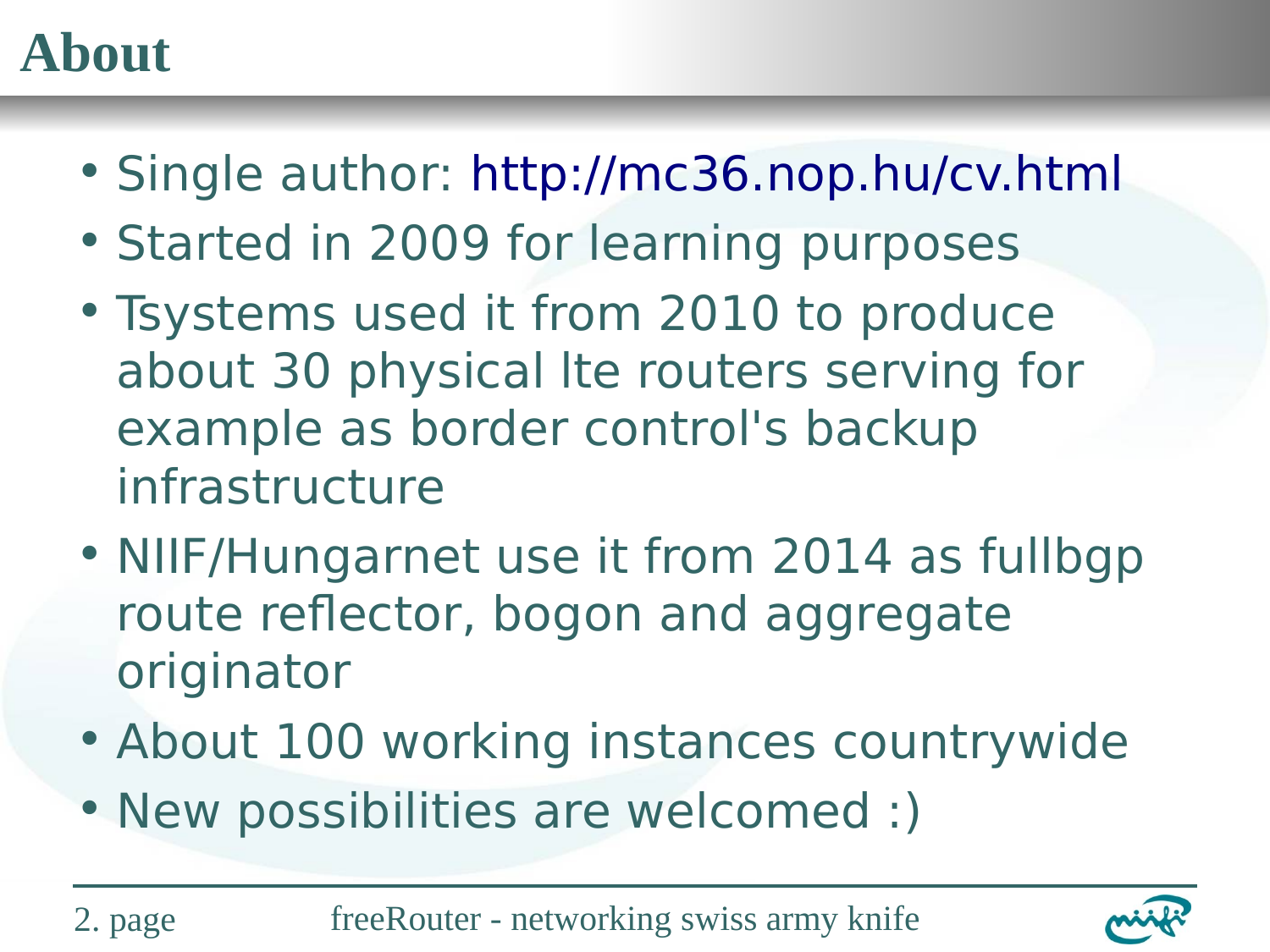# **About**

- Single author: <http://mc36.nop.hu/cv.html>
- Started in 2009 for learning purposes
- Tsystems used it from 2010 to produce about 30 physical lte routers serving for example as border control's backup infrastructure
- NIIF/Hungarnet use it from 2014 as fullbgp route reflector, bogon and aggregate originator
- About 100 working instances countrywide
- New possibilities are welcomed :)

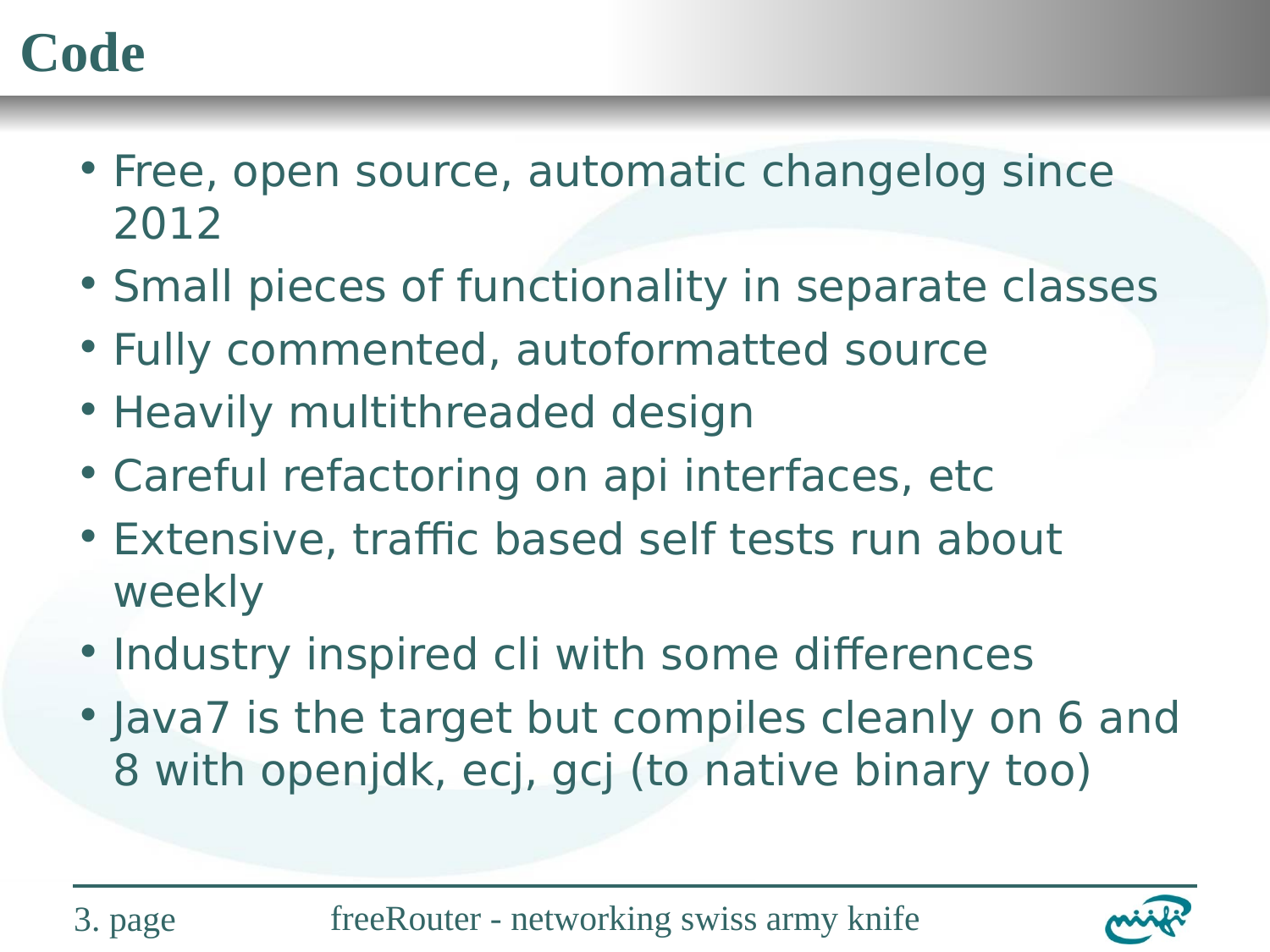# **Code**

- Free, open source, automatic changelog since 2012
- Small pieces of functionality in separate classes
- Fully commented, autoformatted source
- Heavily multithreaded design
- Careful refactoring on api interfaces, etc
- Extensive, traffic based self tests run about weekly
- Industry inspired cli with some differences
- Java7 is the target but compiles cleanly on 6 and 8 with openjdk, ecj, gcj (to native binary too)

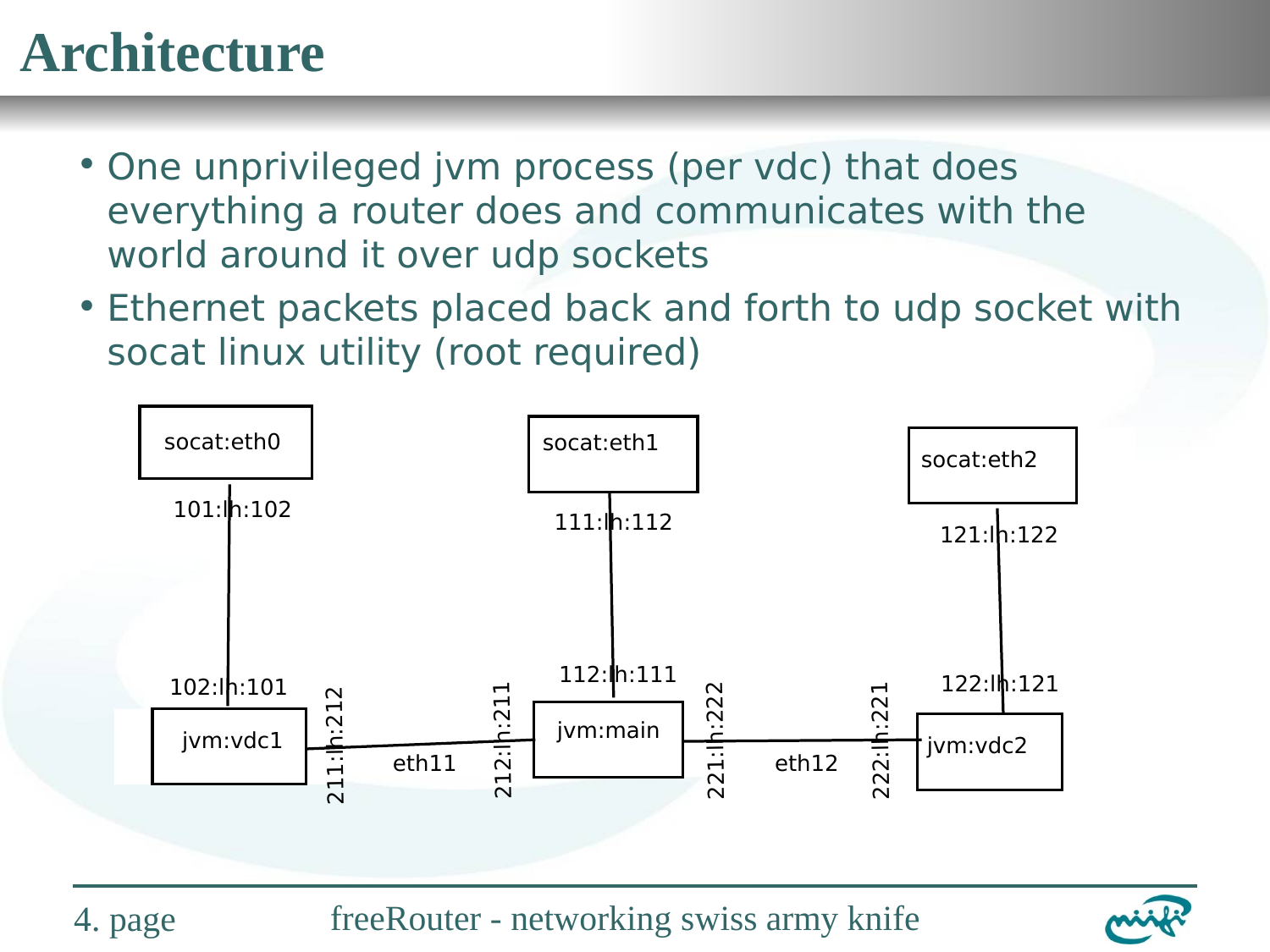## **Nemzeti Információs Infrastruktúra Fejlesztési Intézet Architecture**

- One unprivileged jvm process (per vdc) that does everything a router does and communicates with the world around it over udp sockets
- Ethernet packets placed back and forth to udp socket with socat linux utility (root required)



4. page freeRouter - networking swiss army knife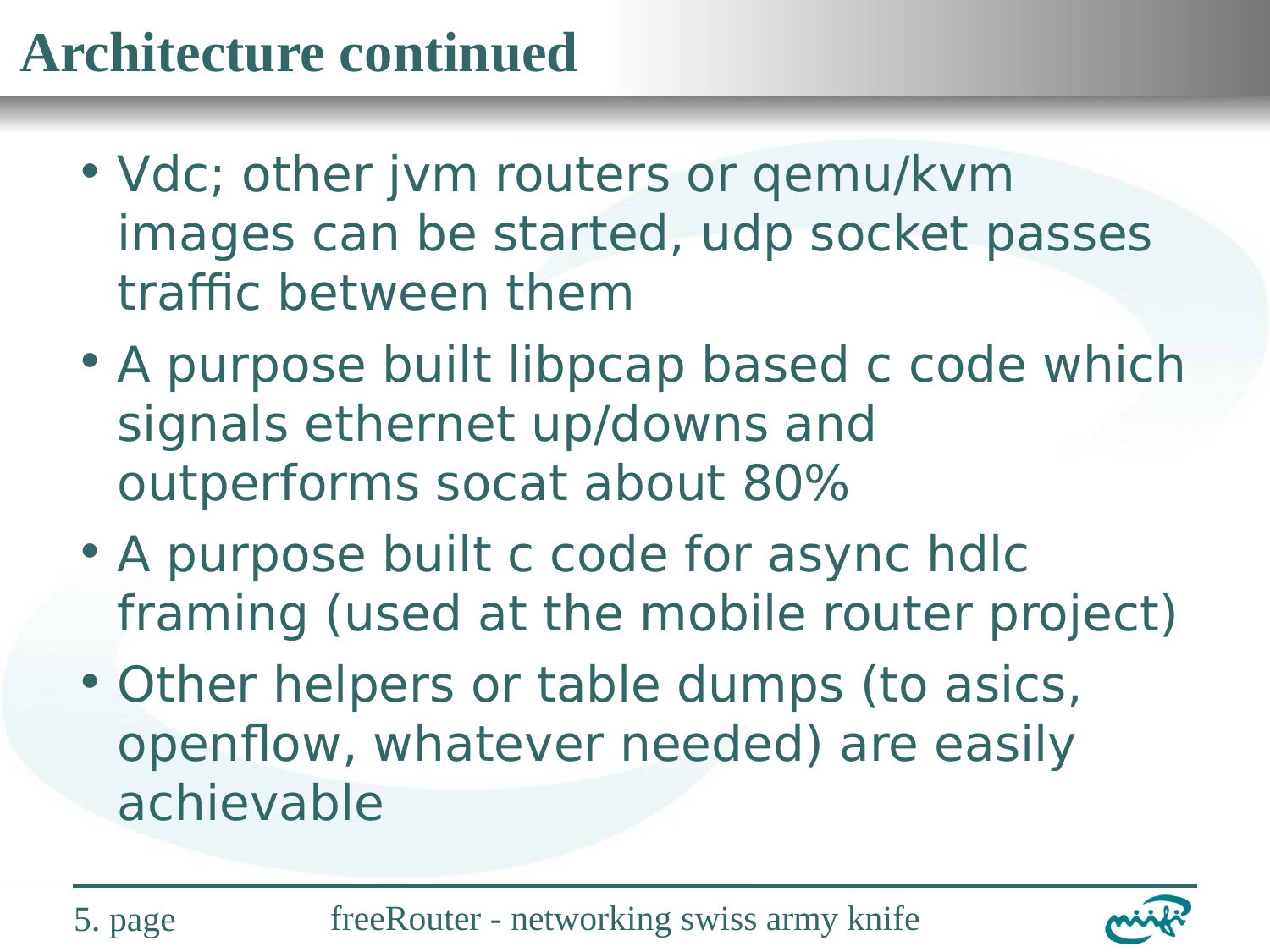# Architecture continued

- Vdc; other jvm routers or qemu/kvm images can be started, udp socket passes traffic between them
- A purpose built libpcap based c code which signals ethernet up/downs and outperforms socat about 80%
- A purpose built c code for async hdlc framing (used at the mobile router project)
- Other helpers or table dumps (to asics, openflow, whatever needed) are easily achievable

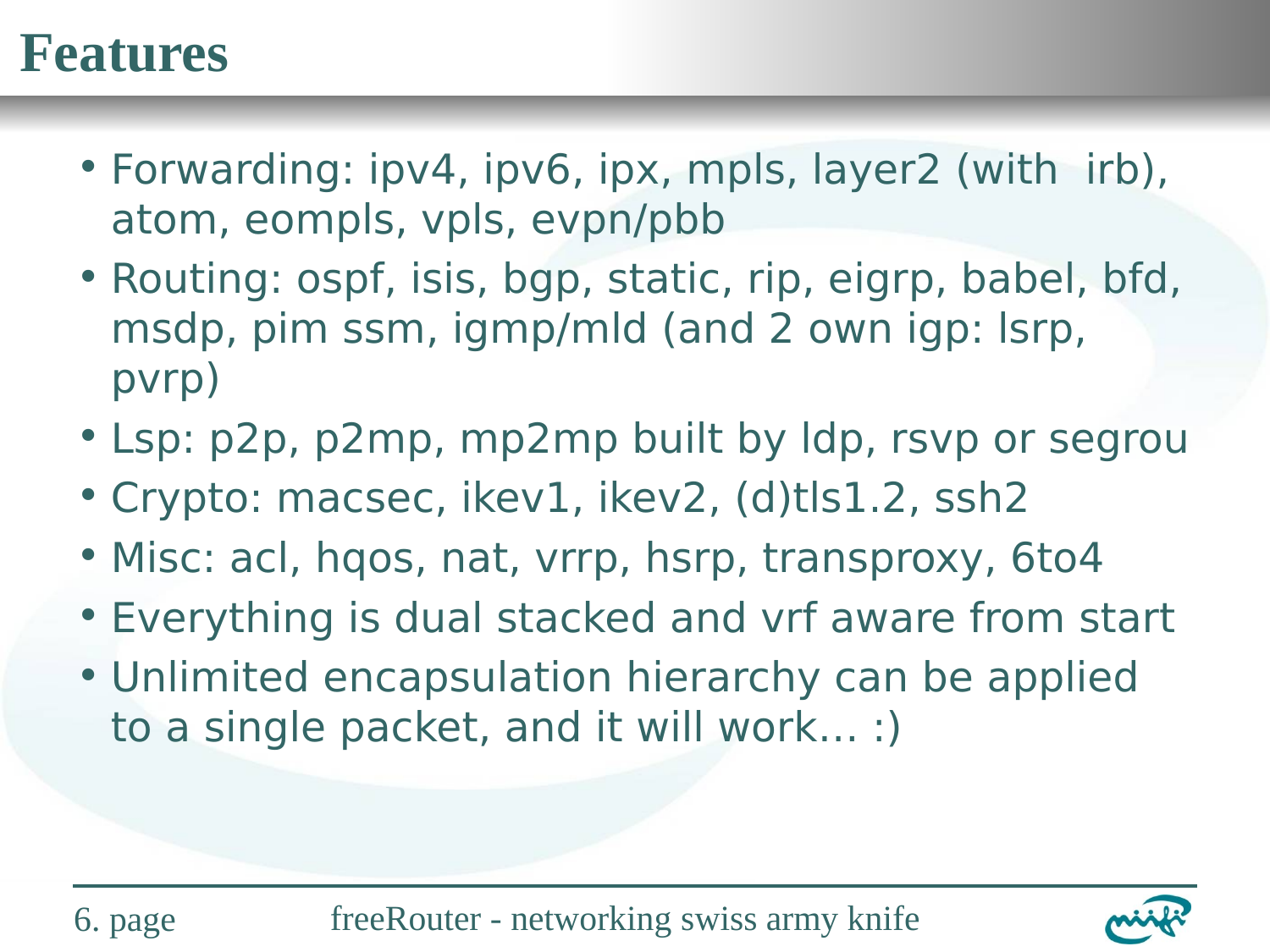## **Features**

- Forwarding: ipv4, ipv6, ipx, mpls, layer2 (with irb), atom, eompls, vpls, evpn/pbb
- Routing: ospf, isis, bgp, static, rip, eigrp, babel, bfd, msdp, pim ssm, igmp/mld (and 2 own igp: lsrp, pvrp)
- Lsp: p2p, p2mp, mp2mp built by ldp, rsvp or segrou
- Crypto: macsec, ikev1, ikev2, (d)tls1.2, ssh2
- Misc: acl, hqos, nat, vrrp, hsrp, transproxy, 6to4
- Everything is dual stacked and vrf aware from start
- Unlimited encapsulation hierarchy can be applied to a single packet, and it will work… :)



6. page freeRouter - networking swiss army knife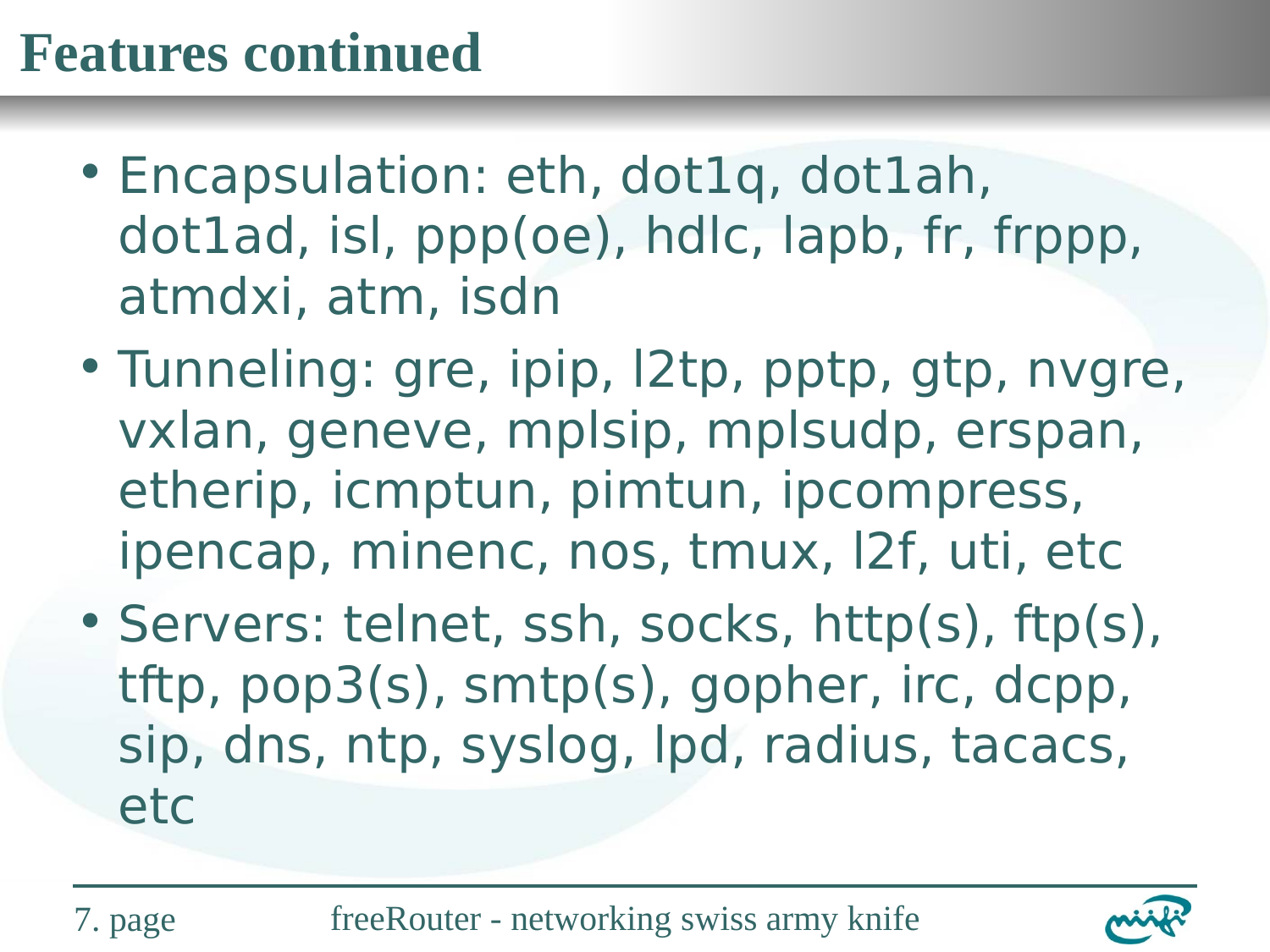# **Next Információs Információs Információs Intézeti Intézeti Intézeti Intézeti Intézeti Intézeti Intézeti Intéze**

- Encapsulation: eth, dot1q, dot1ah, dot1ad, isl, ppp(oe), hdlc, lapb, fr, frppp, atmdxi, atm, isdn
- Tunneling: gre, ipip, l2tp, pptp, gtp, nvgre, vxlan, geneve, mplsip, mplsudp, erspan, etherip, icmptun, pimtun, ipcompress, ipencap, minenc, nos, tmux, l2f, uti, etc
- Servers: telnet, ssh, socks, http(s), ftp(s), tftp, pop3(s), smtp(s), gopher, irc, dcpp, sip, dns, ntp, syslog, lpd, radius, tacacs, etc



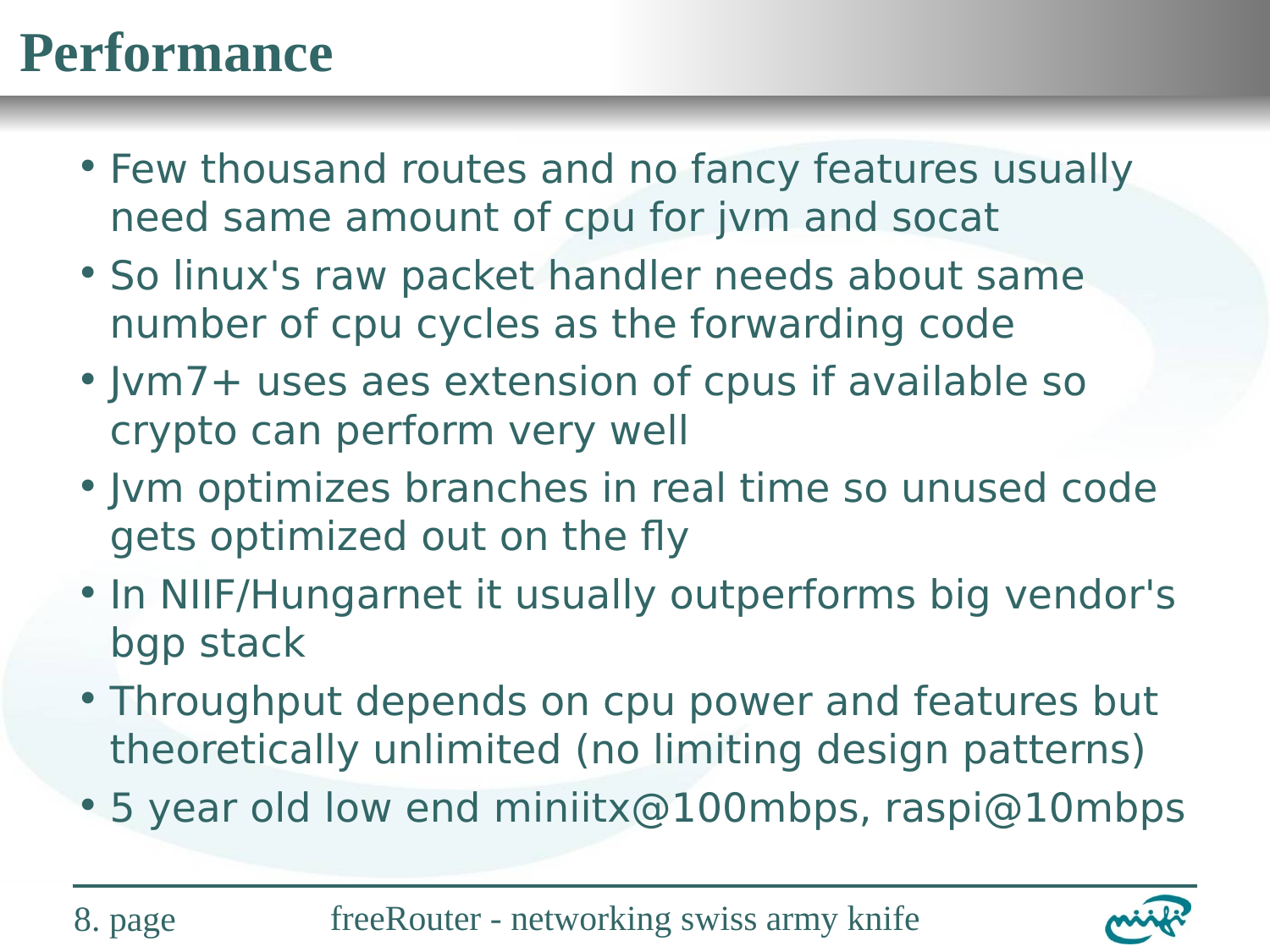## **Nemzeti Információs Infrastruktúra Fejlesztési Intézet Performance**

- Few thousand routes and no fancy features usually need same amount of cpu for jvm and socat
- So linux's raw packet handler needs about same number of cpu cycles as the forwarding code
- Jvm7+ uses aes extension of cpus if available so crypto can perform very well
- Jvm optimizes branches in real time so unused code gets optimized out on the fly
- In NIIF/Hungarnet it usually outperforms big vendor's bgp stack
- Throughput depends on cpu power and features but theoretically unlimited (no limiting design patterns)
- 5 year old low end miniitx@100mbps, raspi@10mbps

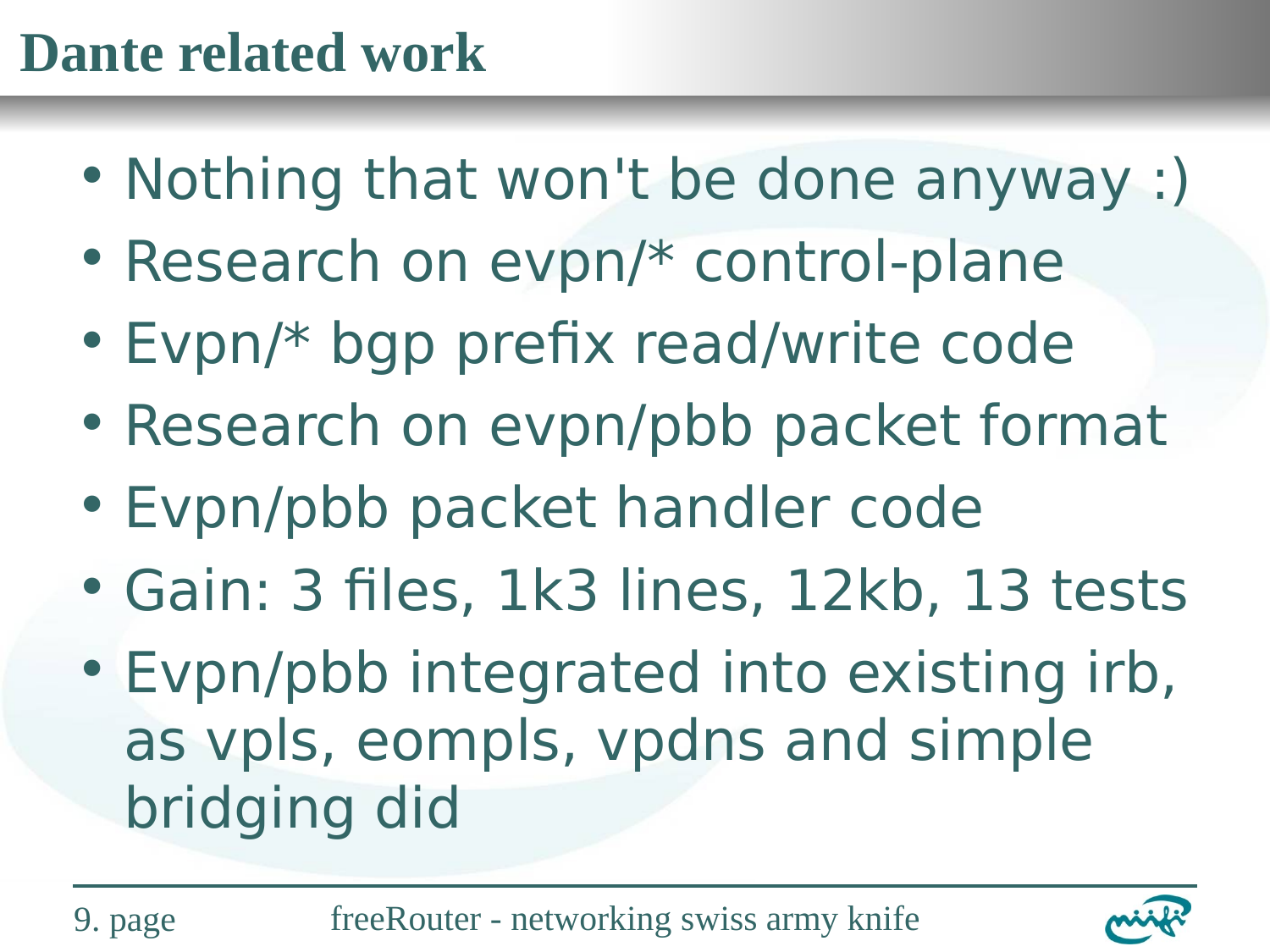# **Nemzeti Információs Információs Intézeti Intézeti Intézeti Intézeti Intézeti Intézeti Intézeti Intézeti Intéze**

- Nothing that won't be done anyway :)
- Research on evpn/\* control-plane
- Evpn/\* bgp prefix read/write code
- Research on evpn/pbb packet format
- Evpn/pbb packet handler code
- Gain: 3 files, 1k3 lines, 12kb, 13 tests
- Evpn/pbb integrated into existing irb, as vpls, eompls, vpdns and simple bridging did